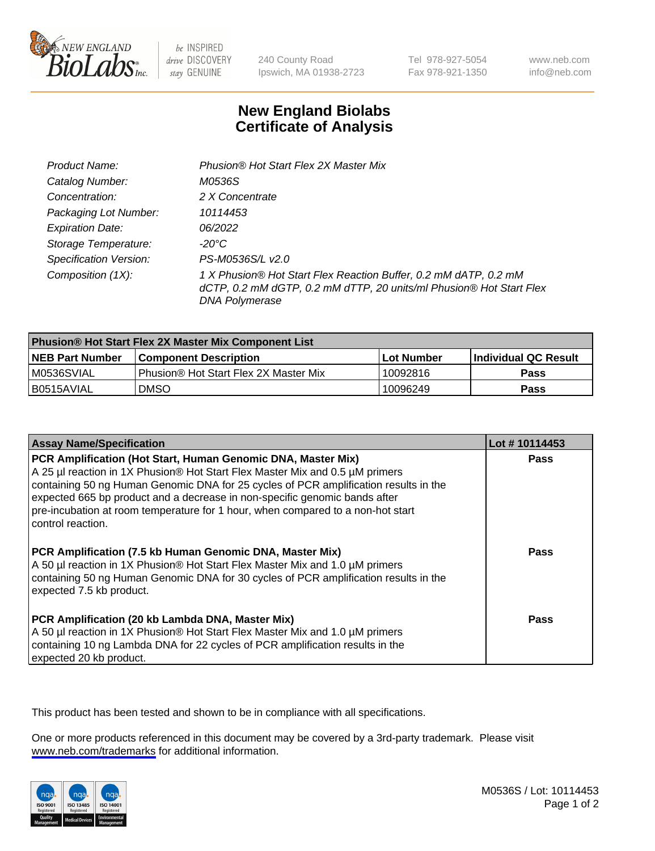

be INSPIRED drive DISCOVERY stay GENUINE

240 County Road Ipswich, MA 01938-2723 Tel 978-927-5054 Fax 978-921-1350

www.neb.com info@neb.com

## **New England Biolabs Certificate of Analysis**

| Product Name:                 | Phusion® Hot Start Flex 2X Master Mix                                                                                                                     |
|-------------------------------|-----------------------------------------------------------------------------------------------------------------------------------------------------------|
| Catalog Number:               | M0536S                                                                                                                                                    |
| Concentration:                | 2 X Concentrate                                                                                                                                           |
| Packaging Lot Number:         | 10114453                                                                                                                                                  |
| <b>Expiration Date:</b>       | 06/2022                                                                                                                                                   |
| Storage Temperature:          | -20°C                                                                                                                                                     |
| <b>Specification Version:</b> | PS-M0536S/L v2.0                                                                                                                                          |
| Composition (1X):             | 1 X Phusion® Hot Start Flex Reaction Buffer, 0.2 mM dATP, 0.2 mM<br>dCTP, 0.2 mM dGTP, 0.2 mM dTTP, 20 units/ml Phusion® Hot Start Flex<br>DNA Polymerase |

| <b>Phusion® Hot Start Flex 2X Master Mix Component List</b> |                                              |            |                             |  |
|-------------------------------------------------------------|----------------------------------------------|------------|-----------------------------|--|
| <b>NEB Part Number</b>                                      | <b>Component Description</b>                 | Lot Number | <b>Individual QC Result</b> |  |
| IM0536SVIAL                                                 | <b>Phusion® Hot Start Flex 2X Master Mix</b> | 10092816   | <b>Pass</b>                 |  |
| I B0515AVIAL                                                | DMSO                                         | 10096249   | Pass                        |  |

| <b>Assay Name/Specification</b>                                                                                                                                                                                                                                                                                                                                                                                            | Lot #10114453 |
|----------------------------------------------------------------------------------------------------------------------------------------------------------------------------------------------------------------------------------------------------------------------------------------------------------------------------------------------------------------------------------------------------------------------------|---------------|
| PCR Amplification (Hot Start, Human Genomic DNA, Master Mix)<br>A 25 µl reaction in 1X Phusion® Hot Start Flex Master Mix and 0.5 µM primers<br>containing 50 ng Human Genomic DNA for 25 cycles of PCR amplification results in the<br>expected 665 bp product and a decrease in non-specific genomic bands after<br>pre-incubation at room temperature for 1 hour, when compared to a non-hot start<br>control reaction. | <b>Pass</b>   |
| PCR Amplification (7.5 kb Human Genomic DNA, Master Mix)<br>A 50 µl reaction in 1X Phusion® Hot Start Flex Master Mix and 1.0 µM primers<br>containing 50 ng Human Genomic DNA for 30 cycles of PCR amplification results in the<br>expected 7.5 kb product.                                                                                                                                                               | Pass          |
| PCR Amplification (20 kb Lambda DNA, Master Mix)<br>A 50 µl reaction in 1X Phusion® Hot Start Flex Master Mix and 1.0 µM primers<br>containing 10 ng Lambda DNA for 22 cycles of PCR amplification results in the<br>expected 20 kb product.                                                                                                                                                                               | Pass          |

This product has been tested and shown to be in compliance with all specifications.

One or more products referenced in this document may be covered by a 3rd-party trademark. Please visit <www.neb.com/trademarks>for additional information.